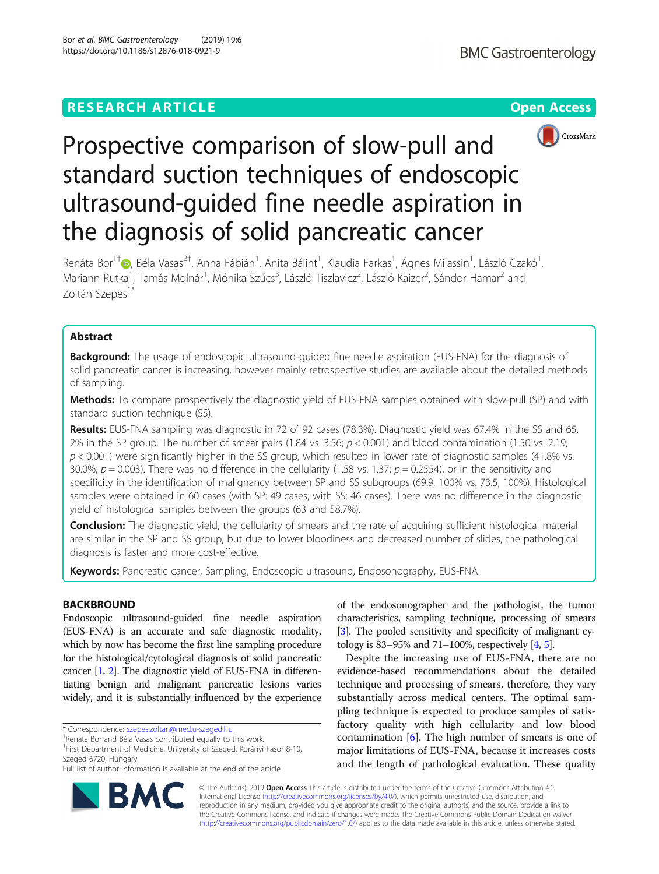## **RESEARCH ARTICLE Example 2018 12:30 THE Open Access**



# Prospective comparison of slow-pull and standard suction techniques of endoscopic ultrasound-guided fine needle aspiration in the diagnosis of solid pancreatic cancer

Renáta Bor<sup>1[†](http://orcid.org/0000-0001-9393-5240)</sup>©, Béla Vasas<sup>2†</sup>, Anna Fábián<sup>1</sup>, Anita Bálint<sup>1</sup>, Klaudia Farkas<sup>1</sup>, Ágnes Milassin<sup>1</sup>, László Czakó<sup>1</sup> , Mariann Rutka<sup>1</sup>, Tamás Molnár<sup>1</sup>, Mónika Szűcs<sup>3</sup>, László Tiszlavicz<sup>2</sup>, László Kaizer<sup>2</sup>, Sándor Hamar<sup>2</sup> and Zoltán Szepes<sup>1\*</sup>

## Abstract

**Background:** The usage of endoscopic ultrasound-guided fine needle aspiration (EUS-FNA) for the diagnosis of solid pancreatic cancer is increasing, however mainly retrospective studies are available about the detailed methods of sampling.

Methods: To compare prospectively the diagnostic yield of EUS-FNA samples obtained with slow-pull (SP) and with standard suction technique (SS).

Results: EUS-FNA sampling was diagnostic in 72 of 92 cases (78.3%). Diagnostic yield was 67.4% in the SS and 65. 2% in the SP group. The number of smear pairs (1.84 vs. 3.56;  $p < 0.001$ ) and blood contamination (1.50 vs. 2.19;  $p$  < 0.001) were significantly higher in the SS group, which resulted in lower rate of diagnostic samples (41.8% vs. 30.0%;  $p = 0.003$ ). There was no difference in the cellularity (1.58 vs. 1.37;  $p = 0.2554$ ), or in the sensitivity and specificity in the identification of malignancy between SP and SS subgroups (69.9, 100% vs. 73.5, 100%). Histological samples were obtained in 60 cases (with SP: 49 cases; with SS: 46 cases). There was no difference in the diagnostic yield of histological samples between the groups (63 and 58.7%).

Conclusion: The diagnostic yield, the cellularity of smears and the rate of acquiring sufficient histological material are similar in the SP and SS group, but due to lower bloodiness and decreased number of slides, the pathological diagnosis is faster and more cost-effective.

Keywords: Pancreatic cancer, Sampling, Endoscopic ultrasound, Endosonography, EUS-FNA

## **BACKBROUND**

Endoscopic ultrasound-guided fine needle aspiration (EUS-FNA) is an accurate and safe diagnostic modality, which by now has become the first line sampling procedure for the histological/cytological diagnosis of solid pancreatic cancer [\[1,](#page-7-0) [2\]](#page-7-0). The diagnostic yield of EUS-FNA in differentiating benign and malignant pancreatic lesions varies widely, and it is substantially influenced by the experience

\* Correspondence: [szepes.zoltan@med.u-szeged.hu](mailto:szepes.zoltan@med.u-szeged.hu) †

of the endosonographer and the pathologist, the tumor characteristics, sampling technique, processing of smears [[3](#page-7-0)]. The pooled sensitivity and specificity of malignant cytology is 83–95% and 71–100%, respectively [\[4](#page-7-0), [5](#page-7-0)].

Despite the increasing use of EUS-FNA, there are no evidence-based recommendations about the detailed technique and processing of smears, therefore, they vary substantially across medical centers. The optimal sampling technique is expected to produce samples of satisfactory quality with high cellularity and low blood contamination [\[6](#page-7-0)]. The high number of smears is one of major limitations of EUS-FNA, because it increases costs and the length of pathological evaluation. These quality



© The Author(s). 2019 Open Access This article is distributed under the terms of the Creative Commons Attribution 4.0 International License [\(http://creativecommons.org/licenses/by/4.0/](http://creativecommons.org/licenses/by/4.0/)), which permits unrestricted use, distribution, and reproduction in any medium, provided you give appropriate credit to the original author(s) and the source, provide a link to the Creative Commons license, and indicate if changes were made. The Creative Commons Public Domain Dedication waiver [\(http://creativecommons.org/publicdomain/zero/1.0/](http://creativecommons.org/publicdomain/zero/1.0/)) applies to the data made available in this article, unless otherwise stated.

<sup>&</sup>lt;sup>†</sup>Renáta Bor and Béla Vasas contributed equally to this work

<sup>&</sup>lt;sup>1</sup> First Department of Medicine, University of Szeged, Korányi Fasor 8-10, Szeged 6720, Hungary

Full list of author information is available at the end of the article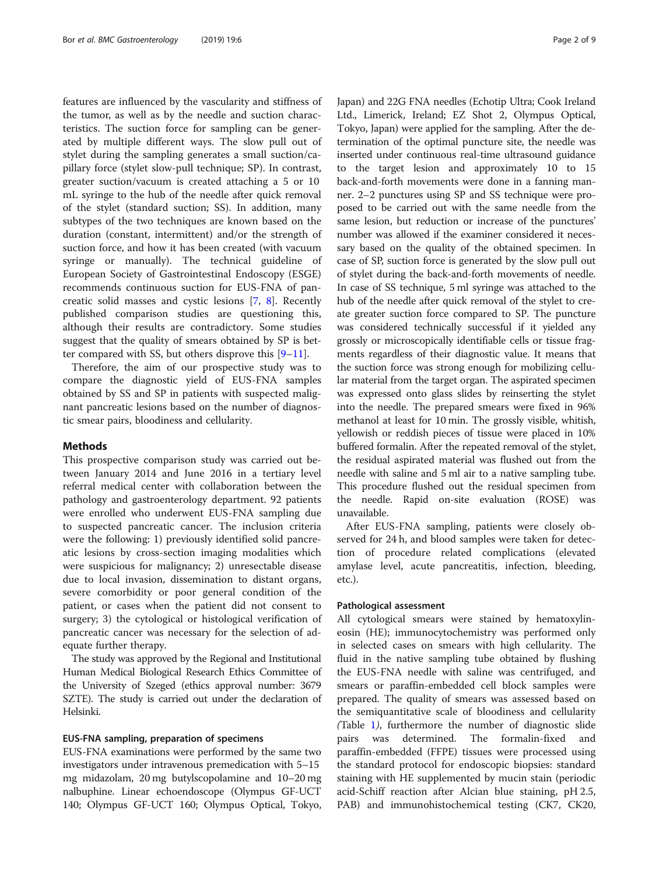features are influenced by the vascularity and stiffness of the tumor, as well as by the needle and suction characteristics. The suction force for sampling can be generated by multiple different ways. The slow pull out of stylet during the sampling generates a small suction/capillary force (stylet slow-pull technique; SP). In contrast, greater suction/vacuum is created attaching a 5 or 10 mL syringe to the hub of the needle after quick removal of the stylet (standard suction; SS). In addition, many subtypes of the two techniques are known based on the duration (constant, intermittent) and/or the strength of suction force, and how it has been created (with vacuum syringe or manually). The technical guideline of European Society of Gastrointestinal Endoscopy (ESGE) recommends continuous suction for EUS-FNA of pancreatic solid masses and cystic lesions [[7,](#page-7-0) [8\]](#page-7-0). Recently published comparison studies are questioning this, although their results are contradictory. Some studies suggest that the quality of smears obtained by SP is better compared with SS, but others disprove this  $[9-11]$  $[9-11]$  $[9-11]$  $[9-11]$  $[9-11]$ .

Therefore, the aim of our prospective study was to compare the diagnostic yield of EUS-FNA samples obtained by SS and SP in patients with suspected malignant pancreatic lesions based on the number of diagnostic smear pairs, bloodiness and cellularity.

## Methods

This prospective comparison study was carried out between January 2014 and June 2016 in a tertiary level referral medical center with collaboration between the pathology and gastroenterology department. 92 patients were enrolled who underwent EUS-FNA sampling due to suspected pancreatic cancer. The inclusion criteria were the following: 1) previously identified solid pancreatic lesions by cross-section imaging modalities which were suspicious for malignancy; 2) unresectable disease due to local invasion, dissemination to distant organs, severe comorbidity or poor general condition of the patient, or cases when the patient did not consent to surgery; 3) the cytological or histological verification of pancreatic cancer was necessary for the selection of adequate further therapy.

The study was approved by the Regional and Institutional Human Medical Biological Research Ethics Committee of the University of Szeged (ethics approval number: 3679 SZTE). The study is carried out under the declaration of Helsinki.

## EUS-FNA sampling, preparation of specimens

EUS-FNA examinations were performed by the same two investigators under intravenous premedication with 5–15 mg midazolam, 20 mg butylscopolamine and 10–20 mg nalbuphine. Linear echoendoscope (Olympus GF-UCT 140; Olympus GF-UCT 160; Olympus Optical, Tokyo, Japan) and 22G FNA needles (Echotip Ultra; Cook Ireland Ltd., Limerick, Ireland; EZ Shot 2, Olympus Optical, Tokyo, Japan) were applied for the sampling. After the determination of the optimal puncture site, the needle was inserted under continuous real-time ultrasound guidance to the target lesion and approximately 10 to 15 back-and-forth movements were done in a fanning manner. 2–2 punctures using SP and SS technique were proposed to be carried out with the same needle from the same lesion, but reduction or increase of the punctures' number was allowed if the examiner considered it necessary based on the quality of the obtained specimen. In case of SP, suction force is generated by the slow pull out of stylet during the back-and-forth movements of needle. In case of SS technique, 5 ml syringe was attached to the hub of the needle after quick removal of the stylet to create greater suction force compared to SP. The puncture was considered technically successful if it yielded any grossly or microscopically identifiable cells or tissue fragments regardless of their diagnostic value. It means that the suction force was strong enough for mobilizing cellular material from the target organ. The aspirated specimen was expressed onto glass slides by reinserting the stylet into the needle. The prepared smears were fixed in 96% methanol at least for 10 min. The grossly visible, whitish, yellowish or reddish pieces of tissue were placed in 10% buffered formalin. After the repeated removal of the stylet, the residual aspirated material was flushed out from the needle with saline and 5 ml air to a native sampling tube. This procedure flushed out the residual specimen from the needle. Rapid on-site evaluation (ROSE) was unavailable.

After EUS-FNA sampling, patients were closely observed for 24 h, and blood samples were taken for detection of procedure related complications (elevated amylase level, acute pancreatitis, infection, bleeding, etc.).

## Pathological assessment

All cytological smears were stained by hematoxylineosin (HE); immunocytochemistry was performed only in selected cases on smears with high cellularity. The fluid in the native sampling tube obtained by flushing the EUS-FNA needle with saline was centrifuged, and smears or paraffin-embedded cell block samples were prepared. The quality of smears was assessed based on the semiquantitative scale of bloodiness and cellularity (Table [1](#page-2-0)), furthermore the number of diagnostic slide pairs was determined. The formalin-fixed and paraffin-embedded (FFPE) tissues were processed using the standard protocol for endoscopic biopsies: standard staining with HE supplemented by mucin stain (periodic acid-Schiff reaction after Alcian blue staining, pH 2.5, PAB) and immunohistochemical testing (CK7, CK20,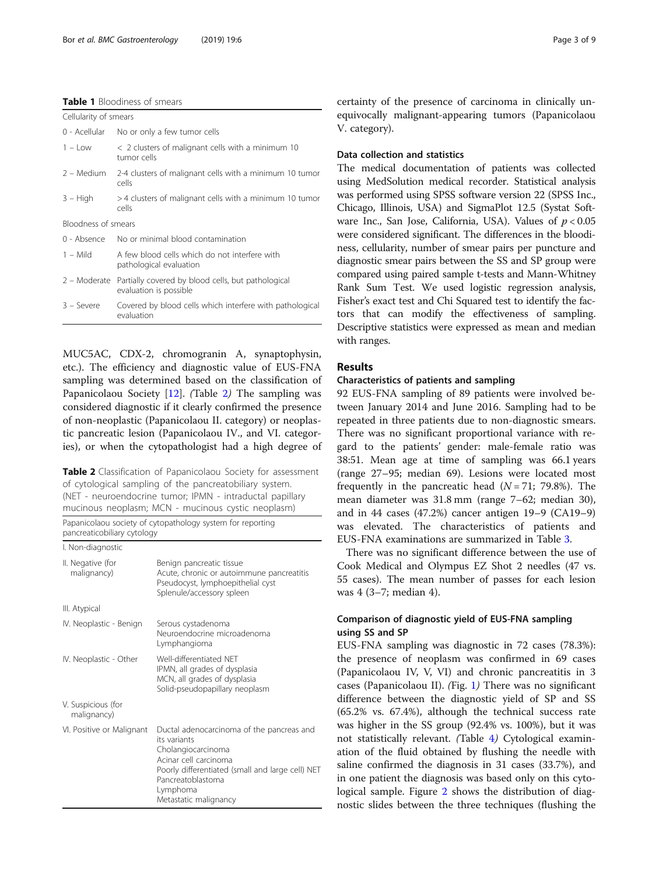## <span id="page-2-0"></span>Table 1 Bloodiness of smears

| Cellularity of smears |                                                                              |  |  |  |
|-----------------------|------------------------------------------------------------------------------|--|--|--|
| 0 - Acellular         | No or only a few tumor cells                                                 |  |  |  |
| $1 - Low$             | $\langle$ 2 clusters of malignant cells with a minimum 10<br>tumor cells     |  |  |  |
| 2 - Medium            | 2-4 clusters of malignant cells with a minimum 10 tumor<br>cells             |  |  |  |
| $3 - High$            | >4 clusters of malignant cells with a minimum 10 tumor<br>cells              |  |  |  |
| Bloodness of smears   |                                                                              |  |  |  |
| 0 - Absence           | No or minimal blood contamination                                            |  |  |  |
| $1 -$ Mild            | A few blood cells which do not interfere with<br>pathological evaluation     |  |  |  |
| 2 - Moderate          | Partially covered by blood cells, but pathological<br>evaluation is possible |  |  |  |
| $3 -$ Severe          | Covered by blood cells which interfere with pathological<br>evaluation       |  |  |  |

MUC5AC, CDX-2, chromogranin A, synaptophysin, etc.). The efficiency and diagnostic value of EUS-FNA sampling was determined based on the classification of Papanicolaou Society [\[12\]](#page-7-0). (Table 2) The sampling was considered diagnostic if it clearly confirmed the presence of non-neoplastic (Papanicolaou II. category) or neoplastic pancreatic lesion (Papanicolaou IV., and VI. categories), or when the cytopathologist had a high degree of

Table 2 Classification of Papanicolaou Society for assessment of cytological sampling of the pancreatobiliary system. (NET - neuroendocrine tumor; IPMN - intraductal papillary mucinous neoplasm; MCN - mucinous cystic neoplasm)

Papanicolaou society of cytopathology system for reporting pancreaticobiliary cytology

I. Non-diagnostic

| <b>1. IVOIT URGITOJLIC</b>        |                                                                                                                                                                                                                        |
|-----------------------------------|------------------------------------------------------------------------------------------------------------------------------------------------------------------------------------------------------------------------|
| II. Negative (for<br>malignancy)  | Benign pancreatic tissue<br>Acute, chronic or autoimmune pancreatitis<br>Pseudocyst, lymphoepithelial cyst<br>Splenule/accessory spleen                                                                                |
| III. Atypical                     |                                                                                                                                                                                                                        |
| IV. Neoplastic - Benign           | Serous cystadenoma<br>Neuroendocrine microadenoma<br>Lymphangioma                                                                                                                                                      |
| IV. Neoplastic - Other            | Well-differentiated NFT<br>IPMN, all grades of dysplasia<br>MCN, all grades of dysplasia<br>Solid-pseudopapillary neoplasm                                                                                             |
| V. Suspicious (for<br>malignancy) |                                                                                                                                                                                                                        |
| VI. Positive or Malignant         | Ductal adenocarcinoma of the pancreas and<br>its variants<br>Cholangiocarcinoma<br>Acinar cell carcinoma<br>Poorly differentiated (small and large cell) NET<br>Pancreatoblastoma<br>Lymphoma<br>Metastatic malignancy |

certainty of the presence of carcinoma in clinically unequivocally malignant-appearing tumors (Papanicolaou V. category).

## Data collection and statistics

The medical documentation of patients was collected using MedSolution medical recorder. Statistical analysis was performed using SPSS software version 22 (SPSS Inc., Chicago, Illinois, USA) and SigmaPlot 12.5 (Systat Software Inc., San Jose, California, USA). Values of  $p < 0.05$ were considered significant. The differences in the bloodiness, cellularity, number of smear pairs per puncture and diagnostic smear pairs between the SS and SP group were compared using paired sample t-tests and Mann-Whitney Rank Sum Test. We used logistic regression analysis, Fisher's exact test and Chi Squared test to identify the factors that can modify the effectiveness of sampling. Descriptive statistics were expressed as mean and median with ranges.

## Results

## Characteristics of patients and sampling

92 EUS-FNA sampling of 89 patients were involved between January 2014 and June 2016. Sampling had to be repeated in three patients due to non-diagnostic smears. There was no significant proportional variance with regard to the patients' gender: male-female ratio was 38:51. Mean age at time of sampling was 66.1 years (range 27–95; median 69). Lesions were located most frequently in the pancreatic head  $(N = 71; 79.8\%)$ . The mean diameter was 31.8 mm (range 7–62; median 30), and in 44 cases (47.2%) cancer antigen 19–9 (CA19–9) was elevated. The characteristics of patients and EUS-FNA examinations are summarized in Table [3](#page-3-0).

There was no significant difference between the use of Cook Medical and Olympus EZ Shot 2 needles (47 vs. 55 cases). The mean number of passes for each lesion was 4 (3–7; median 4).

## Comparison of diagnostic yield of EUS-FNA sampling using SS and SP

EUS-FNA sampling was diagnostic in 72 cases (78.3%): the presence of neoplasm was confirmed in 69 cases (Papanicolaou IV, V, VI) and chronic pancreatitis in 3 cases (Papanicolaou II). (Fig. [1](#page-3-0)) There was no significant difference between the diagnostic yield of SP and SS (65.2% vs. 67.4%), although the technical success rate was higher in the SS group (92.4% vs. 100%), but it was not statistically relevant. (Table [4](#page-4-0)) Cytological examination of the fluid obtained by flushing the needle with saline confirmed the diagnosis in 31 cases (33.7%), and in one patient the diagnosis was based only on this cytological sample. Figure [2](#page-4-0) shows the distribution of diagnostic slides between the three techniques (flushing the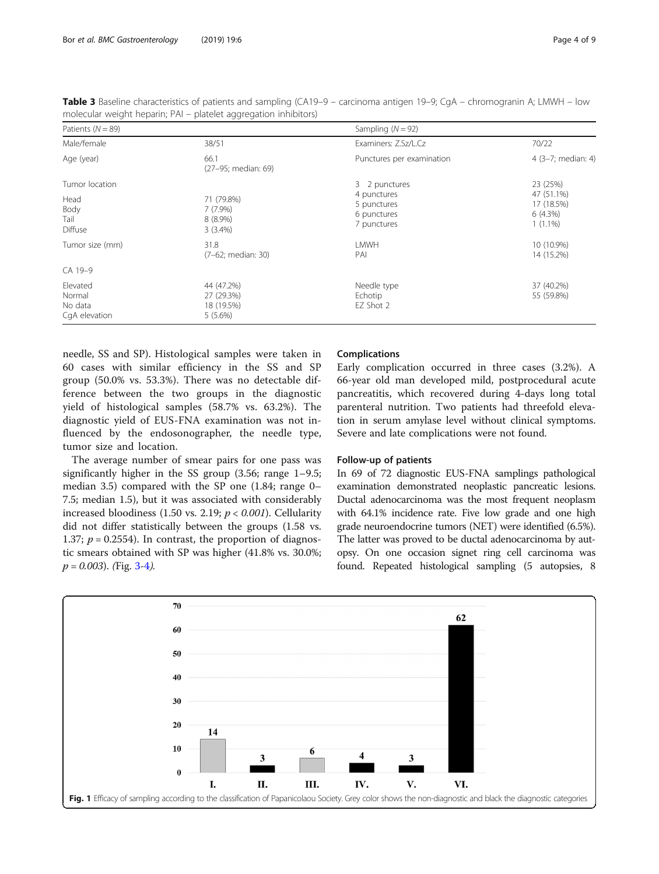| Patients ( $N = 89$ )                          |                                                   | Sampling $(N = 92)$                                      |                                                      |
|------------------------------------------------|---------------------------------------------------|----------------------------------------------------------|------------------------------------------------------|
| Male/female                                    | 38/51                                             | Examiners: Z.Sz/L.Cz                                     | 70/22                                                |
| Age (year)                                     | 66.1<br>(27-95; median: 69)                       | Punctures per examination                                | 4 (3-7; median: 4)                                   |
| Tumor location                                 |                                                   | 3 2 punctures                                            | 23 (25%)                                             |
| Head<br>Body<br>Tail<br>Diffuse                | 71 (79.8%)<br>$7(7.9\%)$<br>$8(8.9\%)$<br>3(3.4%) | 4 punctures<br>5 punctures<br>6 punctures<br>7 punctures | 47 (51.1%)<br>17 (18.5%)<br>$6(4.3\%)$<br>$1(1.1\%)$ |
| Tumor size (mm)                                | 31.8<br>(7-62; median: 30)                        | <b>LMWH</b><br>PAI                                       | 10 (10.9%)<br>14 (15.2%)                             |
| CA 19-9                                        |                                                   |                                                          |                                                      |
| Elevated<br>Normal<br>No data<br>CqA elevation | 44 (47.2%)<br>27 (29.3%)<br>18 (19.5%)<br>5(5.6%) | Needle type<br>Echotip<br>EZ Shot 2                      | 37 (40.2%)<br>55 (59.8%)                             |

<span id="page-3-0"></span>Table 3 Baseline characteristics of patients and sampling (CA19–9 – carcinoma antigen 19–9; CgA – chromogranin A; LMWH – low molecular weight heparin; PAI – platelet aggregation inhibitors)

needle, SS and SP). Histological samples were taken in 60 cases with similar efficiency in the SS and SP group (50.0% vs. 53.3%). There was no detectable difference between the two groups in the diagnostic yield of histological samples (58.7% vs. 63.2%). The diagnostic yield of EUS-FNA examination was not influenced by the endosonographer, the needle type, tumor size and location.

The average number of smear pairs for one pass was significantly higher in the SS group (3.56; range 1–9.5; median 3.5) compared with the SP one (1.84; range 0– 7.5; median 1.5), but it was associated with considerably increased bloodiness (1.50 vs. 2.19;  $p < 0.001$ ). Cellularity did not differ statistically between the groups (1.58 vs. 1.37;  $p = 0.2554$ ). In contrast, the proportion of diagnostic smears obtained with SP was higher (41.8% vs. 30.0%;  $p = 0.003$ . (Fig. [3-4](#page-5-0)).

## Complications

Early complication occurred in three cases (3.2%). A 66-year old man developed mild, postprocedural acute pancreatitis, which recovered during 4-days long total parenteral nutrition. Two patients had threefold elevation in serum amylase level without clinical symptoms. Severe and late complications were not found.

## Follow-up of patients

In 69 of 72 diagnostic EUS-FNA samplings pathological examination demonstrated neoplastic pancreatic lesions. Ductal adenocarcinoma was the most frequent neoplasm with 64.1% incidence rate. Five low grade and one high grade neuroendocrine tumors (NET) were identified (6.5%). The latter was proved to be ductal adenocarcinoma by autopsy. On one occasion signet ring cell carcinoma was found. Repeated histological sampling (5 autopsies, 8

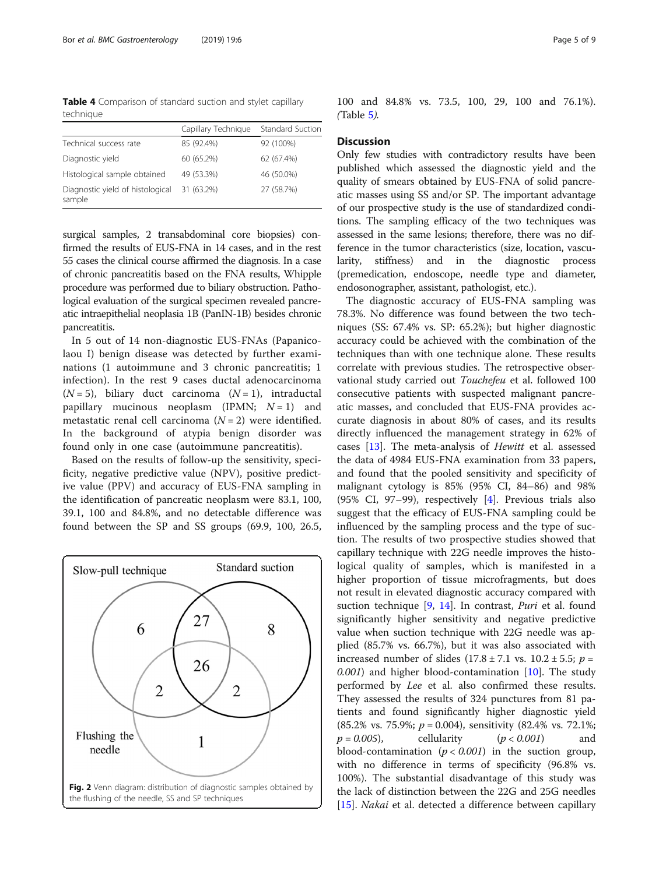<span id="page-4-0"></span>Table 4 Comparison of standard suction and stylet capillary technique

|                                            | Capillary Technique | <b>Standard Suction</b> |
|--------------------------------------------|---------------------|-------------------------|
| Technical success rate                     | 85 (92.4%)          | 92 (100%)               |
| Diagnostic yield                           | 60 (65.2%)          | 62 (67.4%)              |
| Histological sample obtained               | 49 (53.3%)          | 46 (50.0%)              |
| Diagnostic yield of histological<br>sample | 31 (63.2%)          | 27 (58.7%)              |

surgical samples, 2 transabdominal core biopsies) confirmed the results of EUS-FNA in 14 cases, and in the rest 55 cases the clinical course affirmed the diagnosis. In a case of chronic pancreatitis based on the FNA results, Whipple procedure was performed due to biliary obstruction. Pathological evaluation of the surgical specimen revealed pancreatic intraepithelial neoplasia 1B (PanIN-1B) besides chronic pancreatitis.

In 5 out of 14 non-diagnostic EUS-FNAs (Papanicolaou I) benign disease was detected by further examinations (1 autoimmune and 3 chronic pancreatitis; 1 infection). In the rest 9 cases ductal adenocarcinoma  $(N = 5)$ , biliary duct carcinoma  $(N = 1)$ , intraductal papillary mucinous neoplasm (IPMN;  $N = 1$ ) and metastatic renal cell carcinoma  $(N = 2)$  were identified. In the background of atypia benign disorder was found only in one case (autoimmune pancreatitis).

Based on the results of follow-up the sensitivity, specificity, negative predictive value (NPV), positive predictive value (PPV) and accuracy of EUS-FNA sampling in the identification of pancreatic neoplasm were 83.1, 100, 39.1, 100 and 84.8%, and no detectable difference was found between the SP and SS groups (69.9, 100, 26.5,



100 and 84.8% vs. 73.5, 100, 29, 100 and 76.1%). (Table [5](#page-6-0)).

## **Discussion**

Only few studies with contradictory results have been published which assessed the diagnostic yield and the quality of smears obtained by EUS-FNA of solid pancreatic masses using SS and/or SP. The important advantage of our prospective study is the use of standardized conditions. The sampling efficacy of the two techniques was assessed in the same lesions; therefore, there was no difference in the tumor characteristics (size, location, vascularity, stiffness) and in the diagnostic process (premedication, endoscope, needle type and diameter, endosonographer, assistant, pathologist, etc.).

The diagnostic accuracy of EUS-FNA sampling was 78.3%. No difference was found between the two techniques (SS: 67.4% vs. SP: 65.2%); but higher diagnostic accuracy could be achieved with the combination of the techniques than with one technique alone. These results correlate with previous studies. The retrospective observational study carried out Touchefeu et al. followed 100 consecutive patients with suspected malignant pancreatic masses, and concluded that EUS-FNA provides accurate diagnosis in about 80% of cases, and its results directly influenced the management strategy in 62% of cases [[13](#page-7-0)]. The meta-analysis of Hewitt et al. assessed the data of 4984 EUS-FNA examination from 33 papers, and found that the pooled sensitivity and specificity of malignant cytology is 85% (95% CI, 84–86) and 98% (95% CI, 97–99), respectively [[4](#page-7-0)]. Previous trials also suggest that the efficacy of EUS-FNA sampling could be influenced by the sampling process and the type of suction. The results of two prospective studies showed that capillary technique with 22G needle improves the histological quality of samples, which is manifested in a higher proportion of tissue microfragments, but does not result in elevated diagnostic accuracy compared with suction technique [[9,](#page-7-0) [14\]](#page-7-0). In contrast, Puri et al. found significantly higher sensitivity and negative predictive value when suction technique with 22G needle was applied (85.7% vs. 66.7%), but it was also associated with increased number of slides  $(17.8 \pm 7.1 \text{ vs. } 10.2 \pm 5.5; p =$  $(0.001)$  and higher blood-contamination [[10\]](#page-7-0). The study performed by Lee et al. also confirmed these results. They assessed the results of 324 punctures from 81 patients and found significantly higher diagnostic yield  $(85.2\% \text{ vs. } 75.9\%; p = 0.004)$ , sensitivity  $(82.4\% \text{ vs. } 72.1\%;$  $p = 0.005$ , cellularity  $(p < 0.001)$  and blood-contamination  $(p < 0.001)$  in the suction group, with no difference in terms of specificity (96.8% vs. 100%). The substantial disadvantage of this study was the lack of distinction between the 22G and 25G needles [[15\]](#page-7-0). *Nakai* et al. detected a difference between capillary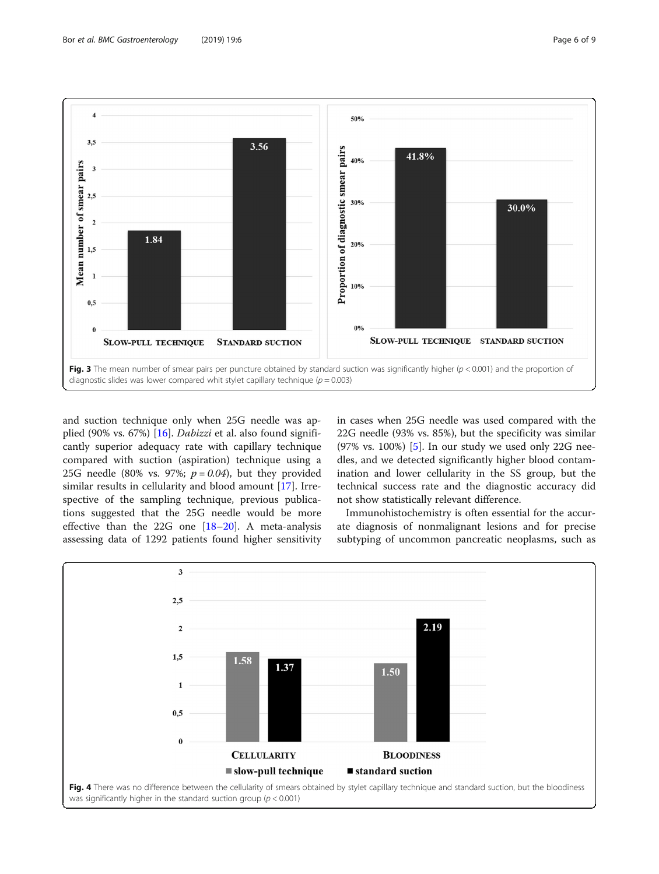<span id="page-5-0"></span>

and suction technique only when 25G needle was applied (90% vs. 67%) [[16\]](#page-7-0). Dabizzi et al. also found significantly superior adequacy rate with capillary technique compared with suction (aspiration) technique using a 25G needle (80% vs. 97%;  $p = 0.04$ ), but they provided similar results in cellularity and blood amount [[17\]](#page-7-0). Irrespective of the sampling technique, previous publications suggested that the 25G needle would be more effective than the 22G one [[18](#page-7-0)–[20\]](#page-7-0). A meta-analysis assessing data of 1292 patients found higher sensitivity in cases when 25G needle was used compared with the 22G needle (93% vs. 85%), but the specificity was similar (97% vs. 100%) [\[5](#page-7-0)]. In our study we used only 22G needles, and we detected significantly higher blood contamination and lower cellularity in the SS group, but the technical success rate and the diagnostic accuracy did not show statistically relevant difference.

Immunohistochemistry is often essential for the accurate diagnosis of nonmalignant lesions and for precise subtyping of uncommon pancreatic neoplasms, such as

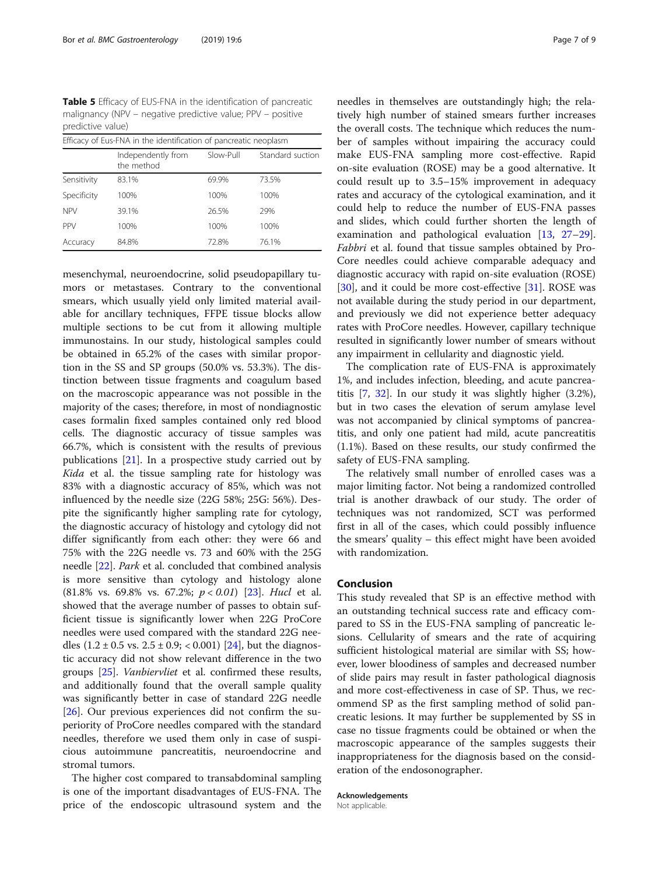<span id="page-6-0"></span>Table 5 Efficacy of EUS-FNA in the identification of pancreatic malignancy (NPV – negative predictive value; PPV – positive predictive value)

| Efficacy of Eus-FNA in the identification of pancreatic neoplasm |                                  |           |                  |  |  |
|------------------------------------------------------------------|----------------------------------|-----------|------------------|--|--|
|                                                                  | Independently from<br>the method | Slow-Pull | Standard suction |  |  |
| Sensitivity                                                      | 83.1%                            | 69.9%     | 73.5%            |  |  |
| Specificity                                                      | 100%                             | 100%      | 100%             |  |  |
| <b>NPV</b>                                                       | 39.1%                            | 26.5%     | 29%              |  |  |
| <b>PPV</b>                                                       | 100%                             | 100%      | 100%             |  |  |
| Accuracy                                                         | 84.8%                            | 72.8%     | 76.1%            |  |  |

mesenchymal, neuroendocrine, solid pseudopapillary tumors or metastases. Contrary to the conventional smears, which usually yield only limited material available for ancillary techniques, FFPE tissue blocks allow multiple sections to be cut from it allowing multiple immunostains. In our study, histological samples could be obtained in 65.2% of the cases with similar proportion in the SS and SP groups (50.0% vs. 53.3%). The distinction between tissue fragments and coagulum based on the macroscopic appearance was not possible in the majority of the cases; therefore, in most of nondiagnostic cases formalin fixed samples contained only red blood cells. The diagnostic accuracy of tissue samples was 66.7%, which is consistent with the results of previous publications [[21](#page-7-0)]. In a prospective study carried out by Kida et al. the tissue sampling rate for histology was 83% with a diagnostic accuracy of 85%, which was not influenced by the needle size (22G 58%; 25G: 56%). Despite the significantly higher sampling rate for cytology, the diagnostic accuracy of histology and cytology did not differ significantly from each other: they were 66 and 75% with the 22G needle vs. 73 and 60% with the 25G needle [\[22](#page-7-0)]. Park et al. concluded that combined analysis is more sensitive than cytology and histology alone (81.8% vs. 69.8% vs. 67.2%;  $p < 0.01$ ) [[23](#page-7-0)]. Hucl et al. showed that the average number of passes to obtain sufficient tissue is significantly lower when 22G ProCore needles were used compared with the standard 22G needles  $(1.2 \pm 0.5 \text{ vs. } 2.5 \pm 0.9; < 0.001)$  [\[24](#page-7-0)], but the diagnostic accuracy did not show relevant difference in the two groups [[25\]](#page-7-0). Vanbiervliet et al. confirmed these results, and additionally found that the overall sample quality was significantly better in case of standard 22G needle [[26\]](#page-7-0). Our previous experiences did not confirm the superiority of ProCore needles compared with the standard needles, therefore we used them only in case of suspicious autoimmune pancreatitis, neuroendocrine and stromal tumors.

The higher cost compared to transabdominal sampling is one of the important disadvantages of EUS-FNA. The price of the endoscopic ultrasound system and the needles in themselves are outstandingly high; the relatively high number of stained smears further increases the overall costs. The technique which reduces the number of samples without impairing the accuracy could make EUS-FNA sampling more cost-effective. Rapid on-site evaluation (ROSE) may be a good alternative. It could result up to 3.5–15% improvement in adequacy rates and accuracy of the cytological examination, and it could help to reduce the number of EUS-FNA passes and slides, which could further shorten the length of examination and pathological evaluation [[13](#page-7-0), [27](#page-7-0)–[29](#page-8-0)]. Fabbri et al. found that tissue samples obtained by Pro-Core needles could achieve comparable adequacy and diagnostic accuracy with rapid on-site evaluation (ROSE) [[30\]](#page-8-0), and it could be more cost-effective [\[31](#page-8-0)]. ROSE was not available during the study period in our department, and previously we did not experience better adequacy rates with ProCore needles. However, capillary technique resulted in significantly lower number of smears without any impairment in cellularity and diagnostic yield.

The complication rate of EUS-FNA is approximately 1%, and includes infection, bleeding, and acute pancreatitis [[7,](#page-7-0) [32](#page-8-0)]. In our study it was slightly higher (3.2%), but in two cases the elevation of serum amylase level was not accompanied by clinical symptoms of pancreatitis, and only one patient had mild, acute pancreatitis (1.1%). Based on these results, our study confirmed the safety of EUS-FNA sampling.

The relatively small number of enrolled cases was a major limiting factor. Not being a randomized controlled trial is another drawback of our study. The order of techniques was not randomized, SCT was performed first in all of the cases, which could possibly influence the smears' quality – this effect might have been avoided with randomization.

## Conclusion

This study revealed that SP is an effective method with an outstanding technical success rate and efficacy compared to SS in the EUS-FNA sampling of pancreatic lesions. Cellularity of smears and the rate of acquiring sufficient histological material are similar with SS; however, lower bloodiness of samples and decreased number of slide pairs may result in faster pathological diagnosis and more cost-effectiveness in case of SP. Thus, we recommend SP as the first sampling method of solid pancreatic lesions. It may further be supplemented by SS in case no tissue fragments could be obtained or when the macroscopic appearance of the samples suggests their inappropriateness for the diagnosis based on the consideration of the endosonographer.

Acknowledgements Not applicable.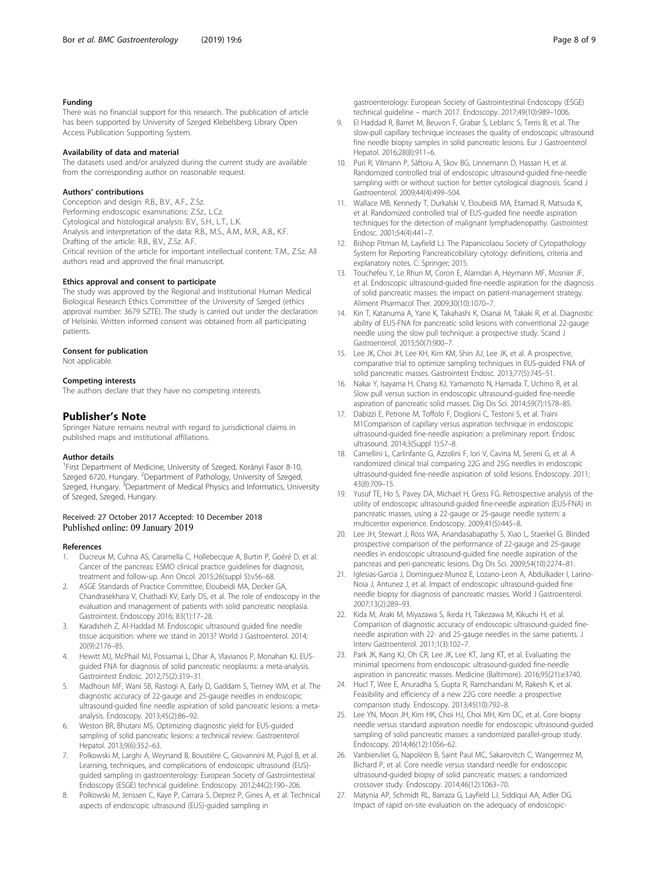## <span id="page-7-0"></span>Funding

There was no financial support for this research. The publication of article has been supported by University of Szeged Klebelsberg Library Open Access Publication Supporting System.

## Availability of data and material

The datasets used and/or analyzed during the current study are available from the corresponding author on reasonable request.

#### Authors' contributions

Conception and design: R.B., B.V., A.F., Z.Sz. Performing endoscopic examinations: Z.Sz., L.Cz. Cytological and histological analysis: B.V., S.H., L.T., L.K. Analysis and interpretation of the data: R.B., M.S., Á.M., M.R., A.B., K.F. Drafting of the article: R.B., B.V., Z.Sz. A.F. Critical revision of the article for important intellectual content: T.M., Z.Sz. All authors read and approved the final manuscript.

#### Ethics approval and consent to participate

The study was approved by the Regional and Institutional Human Medical Biological Research Ethics Committee of the University of Szeged (ethics approval number: 3679 SZTE). The study is carried out under the declaration of Helsinki. Written informed consent was obtained from all participating patients.

#### Consent for publication

Not applicable.

#### Competing interests

The authors declare that they have no competing interests.

## Publisher's Note

Springer Nature remains neutral with regard to jurisdictional claims in published maps and institutional affiliations.

## Author details

<sup>1</sup> First Department of Medicine, University of Szeged, Korányi Fasor 8-10, Szeged 6720, Hungary. <sup>2</sup>Department of Pathology, University of Szeged, Szeged, Hungary. <sup>3</sup>Department of Medical Physics and Informatics, University of Szeged, Szeged, Hungary.

## Received: 27 October 2017 Accepted: 10 December 2018 Published online: 09 January 2019

#### References

- 1. Ducreux M, Cuhna AS, Caramella C, Hollebecque A, Burtin P, Goéré D, et al. Cancer of the pancreas: ESMO clinical practice guidelines for diagnosis, treatment and follow-up. Ann Oncol. 2015;26(suppl 5):v56–68.
- 2. ASGE Standards of Practice Committee, Eloubeidi MA, Decker GA, Chandrasekhara V, Chathadi KV, Early DS, et al. The role of endoscopy in the evaluation and management of patients with solid pancreatic neoplasia. Gastrointest. Endoscopy 2016; 83(1):17–28.
- Karadsheh Z, Al-Haddad M. Endoscopic ultrasound guided fine needle tissue acquisition: where we stand in 2013? World J Gastroenterol. 2014; 20(9):2176–85.
- 4. Hewitt MJ, McPhail MJ, Possamai L, Dhar A, Vlavianos P, Monahan KJ. EUSguided FNA for diagnosis of solid pancreatic neoplasms: a meta-analysis. Gastrointest Endosc. 2012;75(2):319–31.
- 5. Madhoun MF, Wani SB, Rastogi A, Early D, Gaddam S, Tierney WM, et al. The diagnostic accuracy of 22-gauge and 25-gauge needles in endoscopic ultrasound-guided fine needle aspiration of solid pancreatic lesions: a metaanalysis. Endoscopy. 2013;45(2):86–92.
- 6. Weston BR, Bhutani MS. Optimizing diagnostic yield for EUS-guided sampling of solid pancreatic lesions: a technical review. Gastroenterol Hepatol. 2013;9(6):352–63.
- 7. Polkowski M, Larghi A, Weynand B, Boustière C, Giovannini M, Pujol B, et al. Learning, techniques, and complications of endoscopic ultrasound (EUS) guided sampling in gastroenterology: European Society of Gastrointestinal Endoscopy (ESGE) technical guideline. Endoscopy. 2012;44(2):190–206.
- 8. Polkowski M, Jenssen C, Kaye P, Carrara S, Deprez P, Gines A, et al. Technical aspects of endoscopic ultrasound (EUS)-guided sampling in

gastroenterology: European Society of Gastrointestinal Endoscopy (ESGE) technical guideline – march 2017. Endoscopy. 2017;49(10):989–1006.

- 9. El Haddad R, Barret M, Beuvon F, Grabar S, Leblanc S, Terris B, et al. The slow-pull capillary technique increases the quality of endoscopic ultrasound fine needle biopsy samples in solid pancreatic lesions. Eur J Gastroenterol Hepatol. 2016;28(8):911–6.
- 10. Puri R, Vilmann P, Săftoiu A, Skov BG, Linnemann D, Hassan H, et al. Randomized controlled trial of endoscopic ultrasound-guided fine-needle sampling with or without suction for better cytological diagnosis. Scand J Gastroenterol. 2009;44(4):499–504.
- 11. Wallace MB, Kennedy T, Durkalski V, Eloubeidi MA, Etamad R, Matsuda K, et al. Randomized controlled trial of EUS-guided fine needle aspiration techniques for the detection of malignant lymphadenopathy. Gastrointest Endosc. 2001;54(4):441–7.
- 12. Bishop Pitman M, Layfield LJ. The Papanicolaou Society of Cytopathology System for Reporting Pancreaticobiliary cytology: definitions, criteria and explanatory notes. C: Springer; 2015.
- 13. Touchefeu Y, Le Rhun M, Coron E, Alamdari A, Heymann MF, Mosnier JF, et al. Endoscopic ultrasound-guided fine-needle aspiration for the diagnosis of solid pancreatic masses: the impact on patient-management strategy. Aliment Pharmacol Ther. 2009;30(10):1070–7.
- 14. Kin T, Katanuma A, Yane K, Takahashi K, Osanai M, Takaki R, et al. Diagnostic ability of EUS-FNA for pancreatic solid lesions with conventional 22-gauge needle using the slow pull technique: a prospective study. Scand J Gastroenterol. 2015;50(7):900–7.
- 15. Lee JK, Choi JH, Lee KH, Kim KM, Shin JU, Lee JK, et al. A prospective, comparative trial to optimize sampling techniques in EUS-guided FNA of solid pancreatic masses. Gastrointest Endosc. 2013;77(5):745–51.
- 16. Nakai Y, Isayama H, Chang KJ, Yamamoto N, Hamada T, Uchino R, et al. Slow pull versus suction in endoscopic ultrasound-guided fine-needle aspiration of pancreatic solid masses. Dig Dis Sci. 2014;59(7):1578–85.
- 17. Dabizzi E, Petrone M, Toffolo F, Doglioni C, Testoni S, et al. Traini M1Comparison of capillary versus aspiration technique in endoscopic ultrasound-guided fine-needle aspiration: a preliminary report. Endosc ultrasound. 2014;3(Suppl 1):S7–8.
- 18. Camellini L, Carlinfante G, Azzolini F, Iori V, Cavina M, Sereni G, et al. A randomized clinical trial comparing 22G and 25G needles in endoscopic ultrasound-guided fine-needle aspiration of solid lesions. Endoscopy. 2011; 43(8):709–15.
- 19. Yusuf TE, Ho S, Pavey DA, Michael H, Gress FG. Retrospective analysis of the utility of endoscopic ultrasound-guided fine-needle aspiration (EUS-FNA) in pancreatic masses, using a 22-gauge or 25-gauge needle system: a multicenter experience. Endoscopy. 2009;41(5):445–8.
- 20. Lee JH, Stewart J, Ross WA, Anandasabapathy S, Xiao L, Staerkel G. Blinded prospective comparison of the performance of 22-gauge and 25-gauge needles in endoscopic ultrasound-guided fine needle aspiration of the pancreas and peri-pancreatic lesions. Dig Dis Sci. 2009;54(10):2274–81.
- 21. Iglesias-Garcia J, Dominguez-Munoz E, Lozano-Leon A, Abdulkader I, Larino-Noia J, Antunez J, et al. Impact of endoscopic ultrasound-guided fine needle biopsy for diagnosis of pancreatic masses. World J Gastroenterol. 2007;13(2):289–93.
- 22. Kida M, Araki M, Miyazawa S, Ikeda H, Takezawa M, Kikuchi H, et al. Comparison of diagnostic accuracy of endoscopic ultrasound-guided fineneedle aspiration with 22- and 25-gauge needles in the same patients. J Interv Gastroenterol. 2011;1(3):102–7.
- 23. Park JK, Kang KJ, Oh CR, Lee JK, Lee KT, Jang KT, et al. Evaluating the minimal specimens from endoscopic ultrasound-guided fine-needle aspiration in pancreatic masses. Medicine (Baltimore). 2016;95(21):e3740.
- 24. Hucl T, Wee E, Anuradha S, Gupta R, Ramchandani M, Rakesh K, et al. Feasibility and efficiency of a new 22G core needle: a prospective comparison study. Endoscopy. 2013;45(10):792–8.
- 25. Lee YN, Moon JH, Kim HK, Choi HJ, Choi MH, Kim DC, et al. Core biopsy needle versus standard aspiration needle for endoscopic ultrasound-guided sampling of solid pancreatic masses: a randomized parallel-group study. Endoscopy. 2014;46(12):1056–62.
- 26. Vanbiervliet G, Napoléon B, Saint Paul MC, Sakarovitch C, Wangermez M, Bichard P, et al. Core needle versus standard needle for endoscopic ultrasound-guided biopsy of solid pancreatic masses: a randomized crossover study. Endoscopy. 2014;46(12):1063–70.
- 27. Matynia AP, Schmidt RL, Barraza G, Layfield LJ, Siddiqui AA, Adler DG. Impact of rapid on-site evaluation on the adequacy of endoscopic-